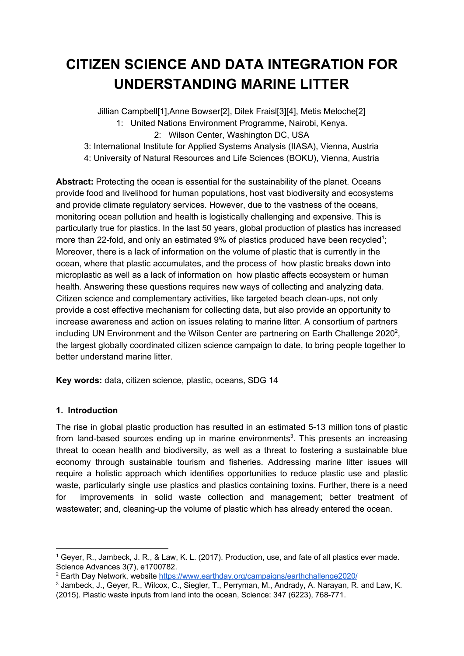# **CITIZEN SCIENCE AND DATA INTEGRATION FOR UNDERSTANDING MARINE LITTER**

Jillian Campbell[1],Anne Bowser[2], Dilek Fraisl[3][4], Metis Meloche[2] 1: United Nations Environment Programme, Nairobi, Kenya. 2: Wilson Center, Washington DC, USA

3: International Institute for Applied Systems Analysis (IIASA), Vienna, Austria

4: University of Natural Resources and Life Sciences (BOKU), Vienna, Austria

**Abstract:** Protecting the ocean is essential for the sustainability of the planet. Oceans provide food and livelihood for human populations, host vast biodiversity and ecosystems and provide climate regulatory services. However, due to the vastness of the oceans, monitoring ocean pollution and health is logistically challenging and expensive. This is particularly true for plastics. In the last 50 years, global production of plastics has increased more than 22-fold, and only an estimated 9% of plastics produced have been recycled<sup>1</sup>; Moreover, there is a lack of information on the volume of plastic that is currently in the ocean, where that plastic accumulates, and the process of how plastic breaks down into microplastic as well as a lack of information on how plastic affects ecosystem or human health. Answering these questions requires new ways of collecting and analyzing data. Citizen science and complementary activities, like targeted beach clean-ups, not only provide a cost effective mechanism for collecting data, but also provide an opportunity to increase awareness and action on issues relating to marine litter. A consortium of partners including UN Environment and the Wilson Center are partnering on Earth Challenge 2020<sup>2</sup>, the largest globally coordinated citizen science campaign to date, to bring people together to better understand marine litter.

**Key words:** data, citizen science, plastic, oceans, SDG 14

## **1. Introduction**

The rise in global plastic production has resulted in an estimated 5-13 million tons of plastic from land-based sources ending up in marine environments<sup>3</sup>. This presents an increasing threat to ocean health and biodiversity, as well as a threat to fostering a sustainable blue economy through sustainable tourism and fisheries. Addressing marine litter issues will require a holistic approach which identifies opportunities to reduce plastic use and plastic waste, particularly single use plastics and plastics containing toxins. Further, there is a need for improvements in solid waste collection and management; better treatment of wastewater; and, cleaning-up the volume of plastic which has already entered the ocean.

<sup>1</sup> Geyer, R., Jambeck, J. R., & Law, K. L. (2017). Production, use, and fate of all plastics ever made. Science Advances 3(7), e1700782.

<sup>2</sup> Earth Day Network, website <https://www.earthday.org/campaigns/earthchallenge2020/>

<sup>3</sup> Jambeck, J., Geyer, R., Wilcox, C., Siegler, T., Perryman, M., Andrady, A. Narayan, R. and Law, K. (2015). Plastic waste inputs from land into the ocean, Science: 347 (6223), 768-771.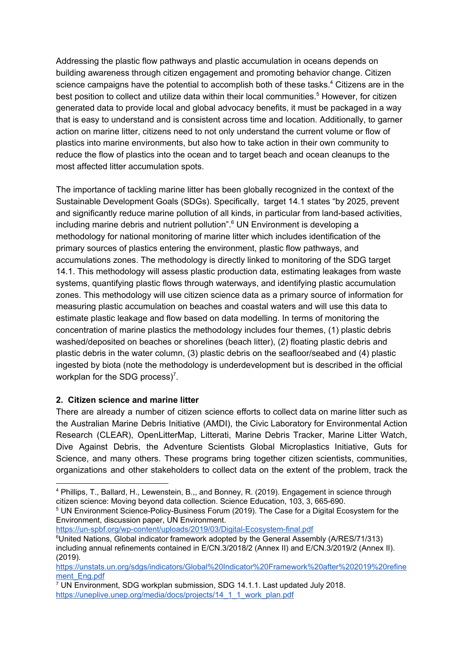Addressing the plastic flow pathways and plastic accumulation in oceans depends on building awareness through citizen engagement and promoting behavior change. Citizen science campaigns have the potential to accomplish both of these tasks. $4$  Citizens are in the best position to collect and utilize data within their local communities.<sup>5</sup> However, for citizen generated data to provide local and global advocacy benefits, it must be packaged in a way that is easy to understand and is consistent across time and location. Additionally, to garner action on marine litter, citizens need to not only understand the current volume or flow of plastics into marine environments, but also how to take action in their own community to reduce the flow of plastics into the ocean and to target beach and ocean cleanups to the most affected litter accumulation spots.

The importance of tackling marine litter has been globally recognized in the context of the Sustainable Development Goals (SDGs). Specifically, target 14.1 states "by 2025, prevent and significantly reduce marine pollution of all kinds, in particular from land-based activities, including marine debris and nutrient pollution". $6$  UN Environment is developing a methodology for national monitoring of marine litter which includes identification of the primary sources of plastics entering the environment, plastic flow pathways, and accumulations zones. The methodology is directly linked to monitoring of the SDG target 14.1. This methodology will assess plastic production data, estimating leakages from waste systems, quantifying plastic flows through waterways, and identifying plastic accumulation zones. This methodology will use citizen science data as a primary source of information for measuring plastic accumulation on beaches and coastal waters and will use this data to estimate plastic leakage and flow based on data modelling. In terms of monitoring the concentration of marine plastics the methodology includes four themes, (1) plastic debris washed/deposited on beaches or shorelines (beach litter), (2) floating plastic debris and plastic debris in the water column, (3) plastic debris on the seafloor/seabed and (4) plastic ingested by biota (note the methodology is underdevelopment but is described in the official workplan for the SDG process)<sup>7</sup>.

## **2. Citizen science and marine litter**

There are already a number of citizen science efforts to collect data on marine litter such as the Australian Marine Debris Initiative (AMDI), the Civic Laboratory for Environmental Action Research (CLEAR), OpenLitterMap, Litterati, Marine Debris Tracker, Marine Litter Watch, Dive Against Debris, the Adventure Scientists Global Microplastics Initiative, Guts for Science, and many others. These programs bring together citizen scientists, communities, organizations and other stakeholders to collect data on the extent of the problem, track the

<https://un-spbf.org/wp-content/uploads/2019/03/Digital-Ecosystem-final.pdf>

<sup>4</sup> Phillips, T., Ballard, H., Lewenstein, B.,, and Bonney, R. (2019). Engagement in science through citizen science: Moving beyond data collection. Science Education, 103, 3, 665-690.

<sup>5</sup> UN Environment Science-Policy-Business Forum (2019). The Case for a Digital Ecosystem for the Environment, discussion paper, UN Environment.

<sup>&</sup>lt;sup>6</sup>United Nations, Global indicator framework adopted by the General Assembly (A/RES/71/313) including annual refinements contained in E/CN.3/2018/2 (Annex II) and E/CN.3/2019/2 (Annex II). (2019).

[https://unstats.un.org/sdgs/indicators/Global%20Indicator%20Framework%20after%202019%20refine](https://unstats.un.org/sdgs/indicators/Global%20Indicator%20Framework%20after%202019%20refinement_Eng.pdf) [ment\\_Eng.pdf](https://unstats.un.org/sdgs/indicators/Global%20Indicator%20Framework%20after%202019%20refinement_Eng.pdf)

<sup>7</sup> UN Environment, SDG workplan submission, SDG 14.1.1. Last updated July 2018. [https://uneplive.unep.org/media/docs/projects/14\\_1\\_1\\_work\\_plan.pdf](https://uneplive.unep.org/media/docs/projects/14_1_1_work_plan.pdf)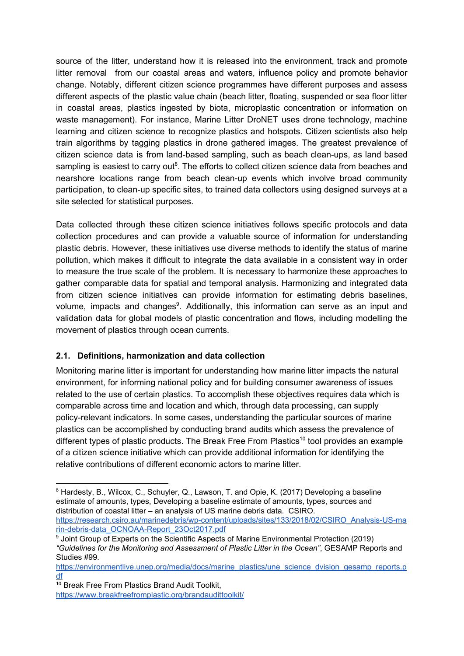source of the litter, understand how it is released into the environment, track and promote litter removal from our coastal areas and waters, influence policy and promote behavior change. Notably, different citizen science programmes have different purposes and assess different aspects of the plastic value chain (beach litter, floating, suspended or sea floor litter in coastal areas, plastics ingested by biota, microplastic concentration or information on waste management). For instance, Marine Litter DroNET uses drone technology, machine learning and citizen science to recognize plastics and hotspots. Citizen scientists also help train algorithms by tagging plastics in drone gathered images. The greatest prevalence of citizen science data is from land-based sampling, such as beach clean-ups, as land based sampling is easiest to carry out<sup>8</sup>. The efforts to collect citizen science data from beaches and nearshore locations range from beach clean-up events which involve broad community participation, to clean-up specific sites, to trained data collectors using designed surveys at a site selected for statistical purposes.

Data collected through these citizen science initiatives follows specific protocols and data collection procedures and can provide a valuable source of information for understanding plastic debris. However, these initiatives use diverse methods to identify the status of marine pollution, which makes it difficult to integrate the data available in a consistent way in order to measure the true scale of the problem. It is necessary to harmonize these approaches to gather comparable data for spatial and temporal analysis. Harmonizing and integrated data from citizen science initiatives can provide information for estimating debris baselines, volume, impacts and changes<sup>9</sup>. Additionally, this information can serve as an input and validation data for global models of plastic concentration and flows, including modelling the movement of plastics through ocean currents.

# **2.1. Definitions, harmonization and data collection**

Monitoring marine litter is important for understanding how marine litter impacts the natural environment, for informing national policy and for building consumer awareness of issues related to the use of certain plastics. To accomplish these objectives requires data which is comparable across time and location and which, through data processing, can supply policy-relevant indicators. In some cases, understanding the particular sources of marine plastics can be accomplished by conducting brand audits which assess the prevalence of different types of plastic products. The Break Free From Plastics<sup>10</sup> tool provides an example of a citizen science initiative which can provide additional information for identifying the relative contributions of different economic actors to marine litter.

<sup>&</sup>lt;sup>8</sup> Hardesty, B., Wilcox, C., Schuyler, Q., Lawson, T. and Opie, K. (2017) Developing a baseline estimate of amounts, types, Developing a baseline estimate of amounts, types, sources and distribution of coastal litter – an analysis of US marine debris data. CSIRO. [https://research.csiro.au/marinedebris/wp-content/uploads/sites/133/2018/02/CSIRO\\_Analysis-US-ma](https://research.csiro.au/marinedebris/wp-content/uploads/sites/133/2018/02/CSIRO_Analysis-US-marin-debris-data_OCNOAA-Report_23Oct2017.pdf)

[rin-debris-data\\_OCNOAA-Report\\_23Oct2017.pdf](https://research.csiro.au/marinedebris/wp-content/uploads/sites/133/2018/02/CSIRO_Analysis-US-marin-debris-data_OCNOAA-Report_23Oct2017.pdf) <sup>9</sup> Joint Group of Experts on the Scientific Aspects of Marine Environmental Protection (2019)

*<sup>&</sup>quot;Guidelines for the Monitoring and Assessment of Plastic Litter in the Ocean"*, GESAMP Reports and Studies #99.

[https://environmentlive.unep.org/media/docs/marine\\_plastics/une\\_science\\_dvision\\_gesamp\\_reports.p](https://environmentlive.unep.org/media/docs/marine_plastics/une_science_dvision_gesamp_reports.pdf) [df](https://environmentlive.unep.org/media/docs/marine_plastics/une_science_dvision_gesamp_reports.pdf)

<sup>&</sup>lt;sup>10</sup> Break Free From Plastics Brand Audit Toolkit[,](https://www.breakfreefromplastic.org/brandaudittoolkit/) <https://www.breakfreefromplastic.org/brandaudittoolkit/>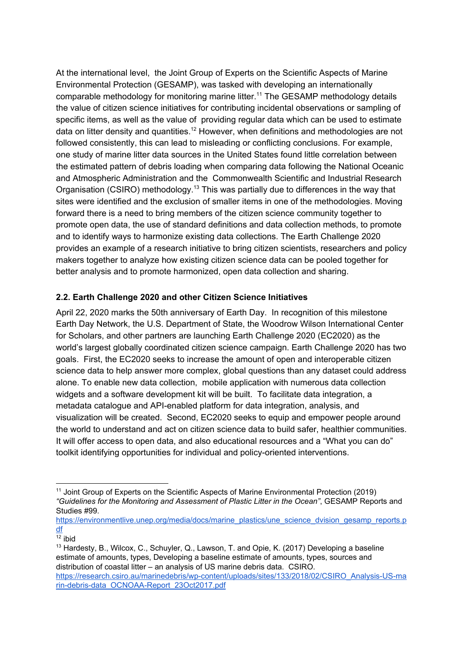At the international level, the Joint Group of Experts on the Scientific Aspects of Marine Environmental Protection (GESAMP), was tasked with developing an internationally comparable methodology for monitoring marine litter.<sup>11</sup> The GESAMP methodology details the value of citizen science initiatives for contributing incidental observations or sampling of specific items, as well as the value of providing regular data which can be used to estimate data on litter density and quantities.<sup>12</sup> However, when definitions and methodologies are not followed consistently, this can lead to misleading or conflicting conclusions. For example, one study of marine litter data sources in the United States found little correlation between the estimated pattern of debris loading when comparing data following the National Oceanic and Atmospheric Administration and the Commonwealth Scientific and Industrial Research Organisation (CSIRO) methodology.<sup>13</sup> This was partially due to differences in the way that sites were identified and the exclusion of smaller items in one of the methodologies. Moving forward there is a need to bring members of the citizen science community together to promote open data, the use of standard definitions and data collection methods, to promote and to identify ways to harmonize existing data collections. The Earth Challenge 2020 provides an example of a research initiative to bring citizen scientists, researchers and policy makers together to analyze how existing citizen science data can be pooled together for better analysis and to promote harmonized, open data collection and sharing.

## **2.2. Earth Challenge 2020 and other Citizen Science Initiatives**

April 22, 2020 marks the 50th anniversary of Earth Day. In recognition of this milestone Earth Day Network, the U.S. Department of State, the Woodrow Wilson International Center for Scholars, and other partners are launching Earth Challenge 2020 (EC2020) as the world's largest globally coordinated citizen science campaign. Earth Challenge 2020 has two goals. First, the EC2020 seeks to increase the amount of open and interoperable citizen science data to help answer more complex, global questions than any dataset could address alone. To enable new data collection, mobile application with numerous data collection widgets and a software development kit will be built. To facilitate data integration, a metadata catalogue and API-enabled platform for data integration, analysis, and visualization will be created. Second, EC2020 seeks to equip and empower people around the world to understand and act on citizen science data to build safer, healthier communities. It will offer access to open data, and also educational resources and a "What you can do" toolkit identifying opportunities for individual and policy-oriented interventions.

[https://environmentlive.unep.org/media/docs/marine\\_plastics/une\\_science\\_dvision\\_gesamp\\_reports.p](https://environmentlive.unep.org/media/docs/marine_plastics/une_science_dvision_gesamp_reports.pdf) [df](https://environmentlive.unep.org/media/docs/marine_plastics/une_science_dvision_gesamp_reports.pdf)

<sup>13</sup> Hardesty, B., Wilcox, C., Schuyler, Q., Lawson, T. and Opie, K. (2017) Developing a baseline estimate of amounts, types, Developing a baseline estimate of amounts, types, sources and distribution of coastal litter – an analysis of US marine debris data. CSIRO. [https://research.csiro.au/marinedebris/wp-content/uploads/sites/133/2018/02/CSIRO\\_Analysis-US-ma](https://research.csiro.au/marinedebris/wp-content/uploads/sites/133/2018/02/CSIRO_Analysis-US-marin-debris-data_OCNOAA-Report_23Oct2017.pdf) [rin-debris-data\\_OCNOAA-Report\\_23Oct2017.pdf](https://research.csiro.au/marinedebris/wp-content/uploads/sites/133/2018/02/CSIRO_Analysis-US-marin-debris-data_OCNOAA-Report_23Oct2017.pdf)

<sup>11</sup> Joint Group of Experts on the Scientific Aspects of Marine Environmental Protection (2019) *"Guidelines for the Monitoring and Assessment of Plastic Litter in the Ocean"*, GESAMP Reports and Studies #99.

<sup>12</sup> ibid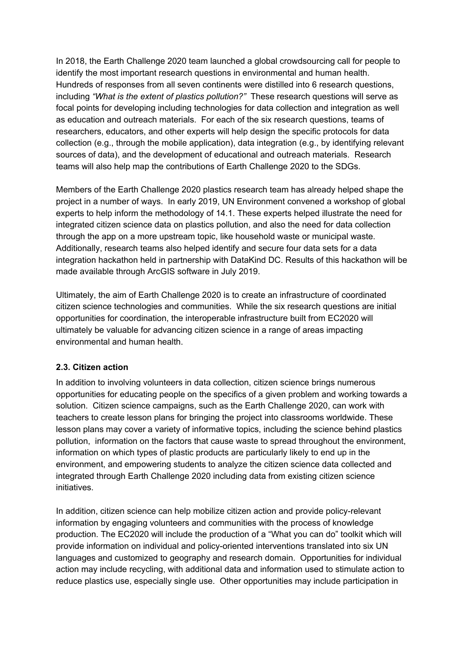In 2018, the Earth Challenge 2020 team launched a global crowdsourcing call for people to identify the most important research questions in environmental and human health. Hundreds of responses from all seven continents were distilled into 6 research questions, including *"What is the extent of plastics pollution?"* These research questions will serve as focal points for developing including technologies for data collection and integration as well as education and outreach materials. For each of the six research questions, teams of researchers, educators, and other experts will help design the specific protocols for data collection (e.g., through the mobile application), data integration (e.g., by identifying relevant sources of data), and the development of educational and outreach materials. Research teams will also help map the contributions of Earth Challenge 2020 to the SDGs.

Members of the Earth Challenge 2020 plastics research team has already helped shape the project in a number of ways. In early 2019, UN Environment convened a workshop of global experts to help inform the methodology of 14.1. These experts helped illustrate the need for integrated citizen science data on plastics pollution, and also the need for data collection through the app on a more upstream topic, like household waste or municipal waste. Additionally, research teams also helped identify and secure four data sets for a data integration hackathon held in partnership with DataKind DC. Results of this hackathon will be made available through ArcGIS software in July 2019.

Ultimately, the aim of Earth Challenge 2020 is to create an infrastructure of coordinated citizen science technologies and communities. While the six research questions are initial opportunities for coordination, the interoperable infrastructure built from EC2020 will ultimately be valuable for advancing citizen science in a range of areas impacting environmental and human health.

## **2.3. Citizen action**

In addition to involving volunteers in data collection, citizen science brings numerous opportunities for educating people on the specifics of a given problem and working towards a solution. Citizen science campaigns, such as the Earth Challenge 2020, can work with teachers to create lesson plans for bringing the project into classrooms worldwide. These lesson plans may cover a variety of informative topics, including the science behind plastics pollution, information on the factors that cause waste to spread throughout the environment, information on which types of plastic products are particularly likely to end up in the environment, and empowering students to analyze the citizen science data collected and integrated through Earth Challenge 2020 including data from existing citizen science initiatives.

In addition, citizen science can help mobilize citizen action and provide policy-relevant information by engaging volunteers and communities with the process of knowledge production. The EC2020 will include the production of a "What you can do" toolkit which will provide information on individual and policy-oriented interventions translated into six UN languages and customized to geography and research domain. Opportunities for individual action may include recycling, with additional data and information used to stimulate action to reduce plastics use, especially single use. Other opportunities may include participation in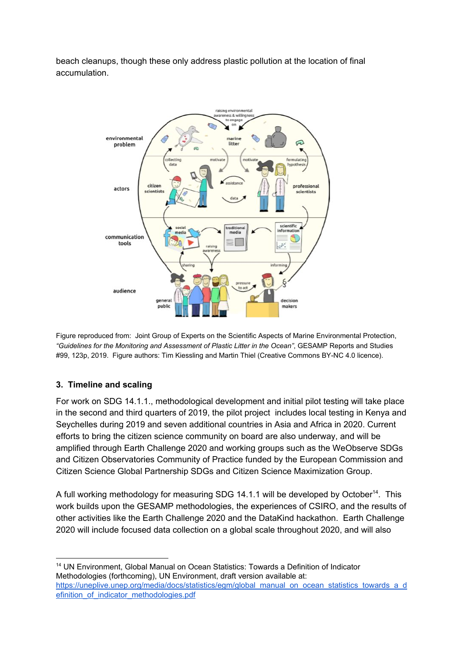beach cleanups, though these only address plastic pollution at the location of final accumulation.



Figure reproduced from: Joint Group of Experts on the Scientific Aspects of Marine Environmental Protection, *"Guidelines for the Monitoring and Assessment of Plastic Litter in the Ocean"*, GESAMP Reports and Studies #99, 123p, 2019. Figure authors: Tim Kiessling and Martin Thiel (Creative Commons BY-NC 4.0 licence).

# **3. Timeline and scaling**

For work on SDG 14.1.1., methodological development and initial pilot testing will take place in the second and third quarters of 2019, the pilot project includes local testing in Kenya and Seychelles during 2019 and seven additional countries in Asia and Africa in 2020. Current efforts to bring the citizen science community on board are also underway, and will be amplified through Earth Challenge 2020 and working groups such as the WeObserve SDGs and Citizen Observatories Community of Practice funded by the European Commission and Citizen Science Global Partnership SDGs and Citizen Science Maximization Group.

A full working methodology for measuring SDG 14.1.1 will be developed by October<sup>14</sup>. This work builds upon the GESAMP methodologies, the experiences of CSIRO, and the results of other activities like the Earth Challenge 2020 and the DataKind hackathon. Earth Challenge 2020 will include focused data collection on a global scale throughout 2020, and will also

<sup>14</sup> UN Environment, Global Manual on Ocean Statistics: Towards a Definition of Indicator Methodologies (forthcoming), UN Environment, draft version available at: [https://uneplive.unep.org/media/docs/statistics/egm/global\\_manual\\_on\\_ocean\\_statistics\\_towards\\_a\\_d](https://uneplive.unep.org/media/docs/statistics/egm/global_manual_on_ocean_statistics_towards_a_definition_of_indicator_methodologies.pdf) efinition of indicator methodologies.pdf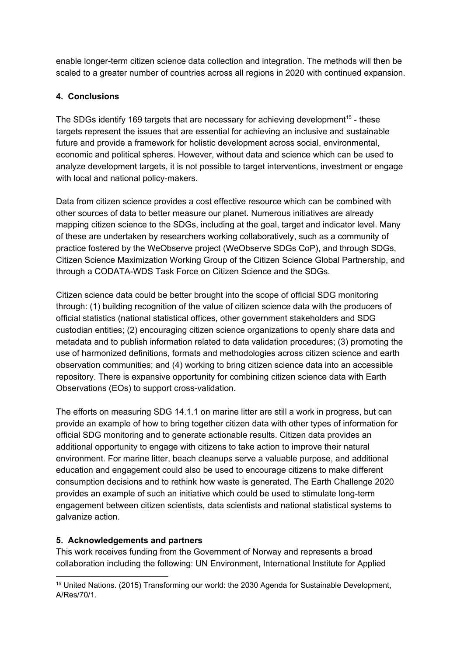enable longer-term citizen science data collection and integration. The methods will then be scaled to a greater number of countries across all regions in 2020 with continued expansion.

## **4. Conclusions**

The SDGs identify 169 targets that are necessary for achieving development<sup>15</sup> - these targets represent the issues that are essential for achieving an inclusive and sustainable future and provide a framework for holistic development across social, environmental, economic and political spheres. However, without data and science which can be used to analyze development targets, it is not possible to target interventions, investment or engage with local and national policy-makers.

Data from citizen science provides a cost effective resource which can be combined with other sources of data to better measure our planet. Numerous initiatives are already mapping citizen science to the SDGs, including at the goal, target and indicator level. Many of these are undertaken by researchers working collaboratively, such as a community of practice fostered by the WeObserve project (WeObserve SDGs CoP), and through SDGs, Citizen Science Maximization Working Group of the Citizen Science Global Partnership, and through a CODATA-WDS Task Force on Citizen Science and the SDGs.

Citizen science data could be better brought into the scope of official SDG monitoring through: (1) building recognition of the value of citizen science data with the producers of official statistics (national statistical offices, other government stakeholders and SDG custodian entities; (2) encouraging citizen science organizations to openly share data and metadata and to publish information related to data validation procedures; (3) promoting the use of harmonized definitions, formats and methodologies across citizen science and earth observation communities; and (4) working to bring citizen science data into an accessible repository. There is expansive opportunity for combining citizen science data with Earth Observations (EOs) to support cross-validation.

The efforts on measuring SDG 14.1.1 on marine litter are still a work in progress, but can provide an example of how to bring together citizen data with other types of information for official SDG monitoring and to generate actionable results. Citizen data provides an additional opportunity to engage with citizens to take action to improve their natural environment. For marine litter, beach cleanups serve a valuable purpose, and additional education and engagement could also be used to encourage citizens to make different consumption decisions and to rethink how waste is generated. The Earth Challenge 2020 provides an example of such an initiative which could be used to stimulate long-term engagement between citizen scientists, data scientists and national statistical systems to galvanize action.

## **5. Acknowledgements and partners**

This work receives funding from the Government of Norway and represents a broad collaboration including the following: UN Environment, International Institute for Applied

<sup>&</sup>lt;sup>15</sup> United Nations. (2015) Transforming our world: the 2030 Agenda for Sustainable Development, A/Res/70/1.